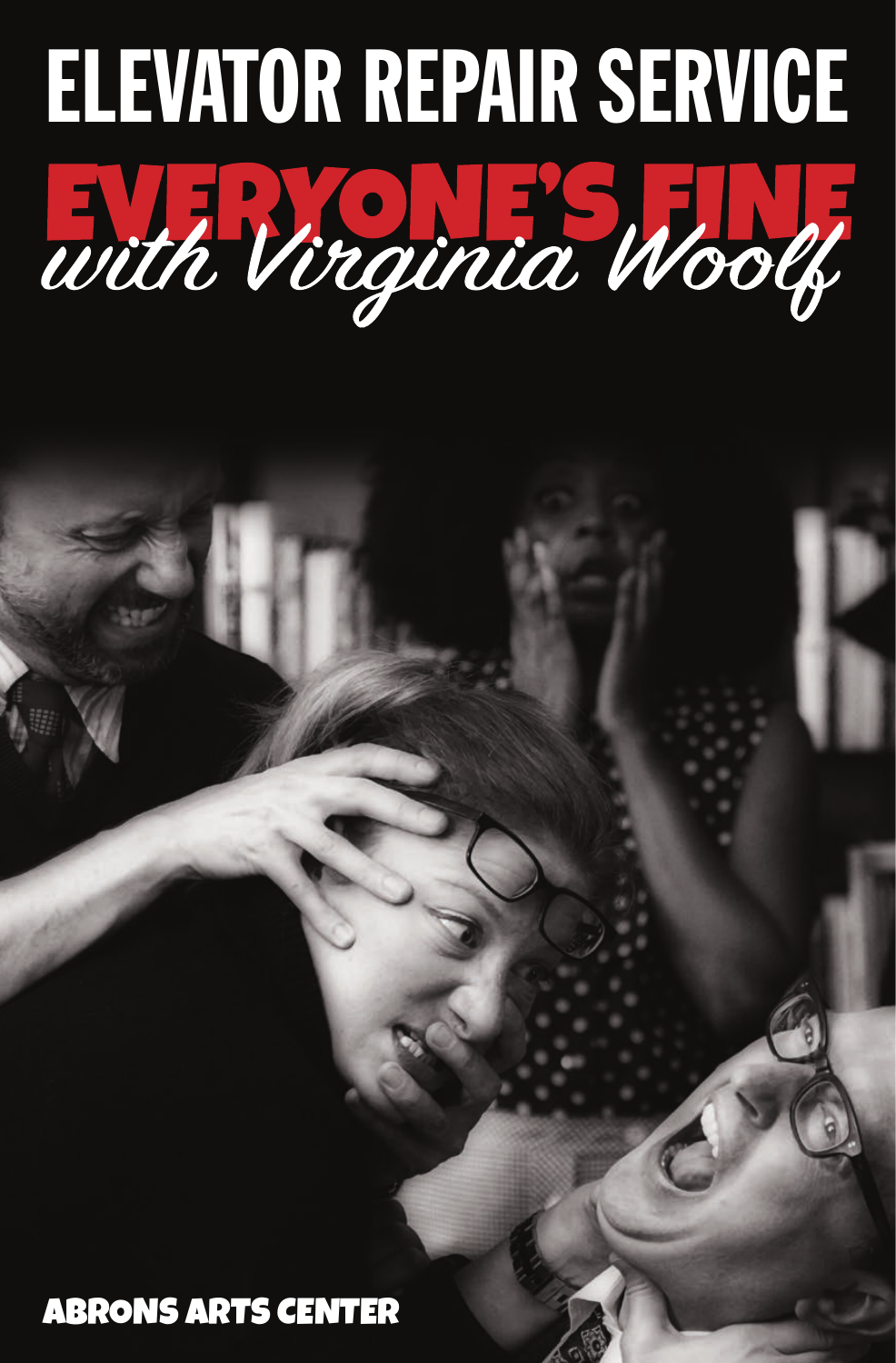

ABRONS ARTS CENTER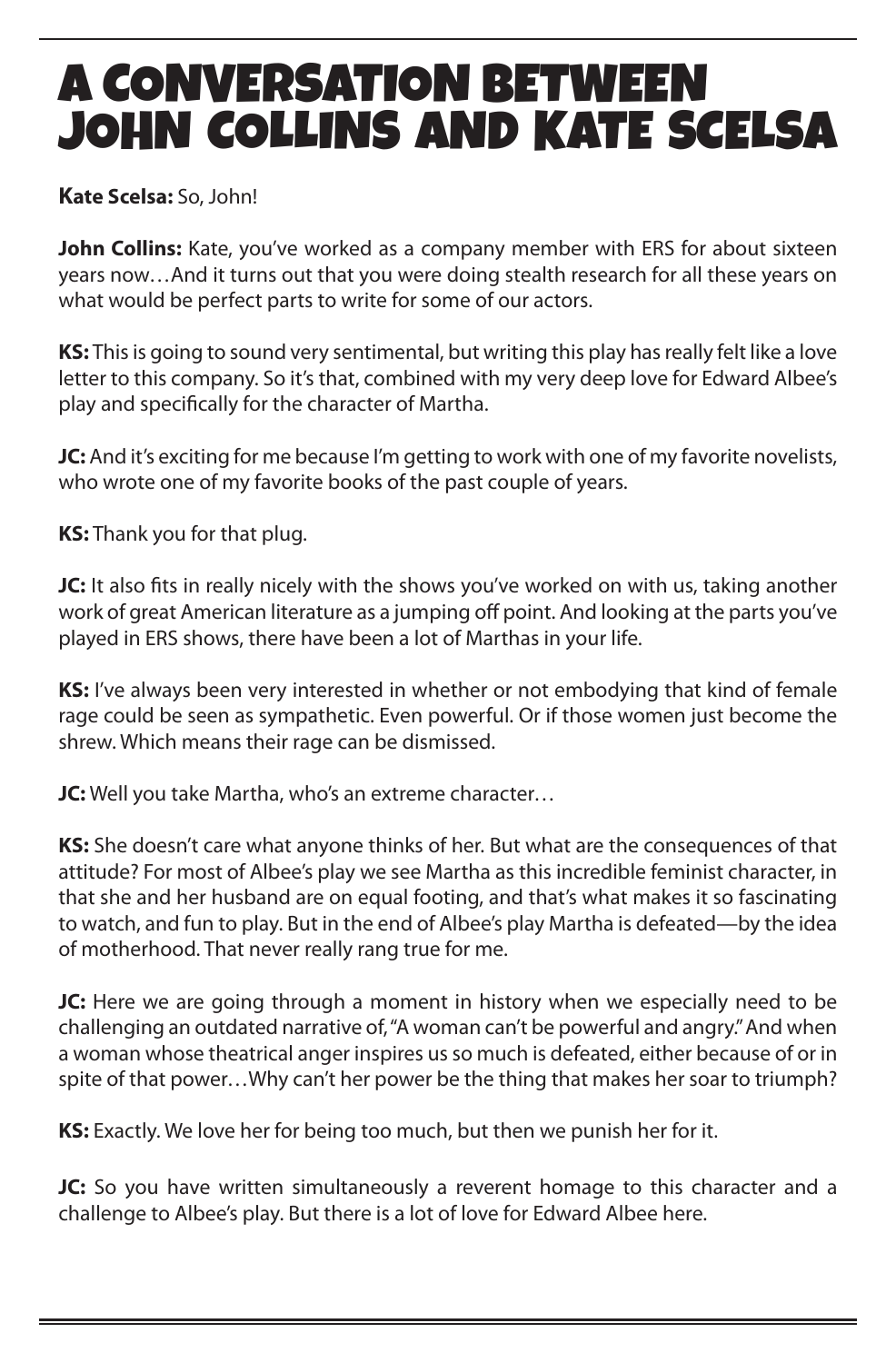## A CONVERSATION BETWEEN JOHN COLLINS AND KATE SCELSA

#### **Kate Scelsa:** So, John!

**John Collins:** Kate, you've worked as a company member with ERS for about sixteen years now…And it turns out that you were doing stealth research for all these years on what would be perfect parts to write for some of our actors.

**KS:** This is going to sound very sentimental, but writing this play has really felt like a love letter to this company. So it's that, combined with my very deep love for Edward Albee's play and specifically for the character of Martha.

**JC:** And it's exciting for me because I'm getting to work with one of my favorite novelists, who wrote one of my favorite books of the past couple of years.

**KS:** Thank you for that plug.

**JC:** It also fits in really nicely with the shows you've worked on with us, taking another work of great American literature as a jumping off point. And looking at the parts you've played in ERS shows, there have been a lot of Marthas in your life.

**KS:** I've always been very interested in whether or not embodying that kind of female rage could be seen as sympathetic. Even powerful. Or if those women just become the shrew. Which means their rage can be dismissed.

**JC:** Well you take Martha, who's an extreme character…

**KS:** She doesn't care what anyone thinks of her. But what are the consequences of that attitude? For most of Albee's play we see Martha as this incredible feminist character, in that she and her husband are on equal footing, and that's what makes it so fascinating to watch, and fun to play. But in the end of Albee's play Martha is defeated—by the idea of motherhood. That never really rang true for me.

**JC:** Here we are going through a moment in history when we especially need to be challenging an outdated narrative of, "A woman can't be powerful and angry." And when a woman whose theatrical anger inspires us so much is defeated, either because of or in spite of that power…Why can't her power be the thing that makes her soar to triumph?

**KS:** Exactly. We love her for being too much, but then we punish her for it.

**JC:** So you have written simultaneously a reverent homage to this character and a challenge to Albee's play. But there is a lot of love for Edward Albee here.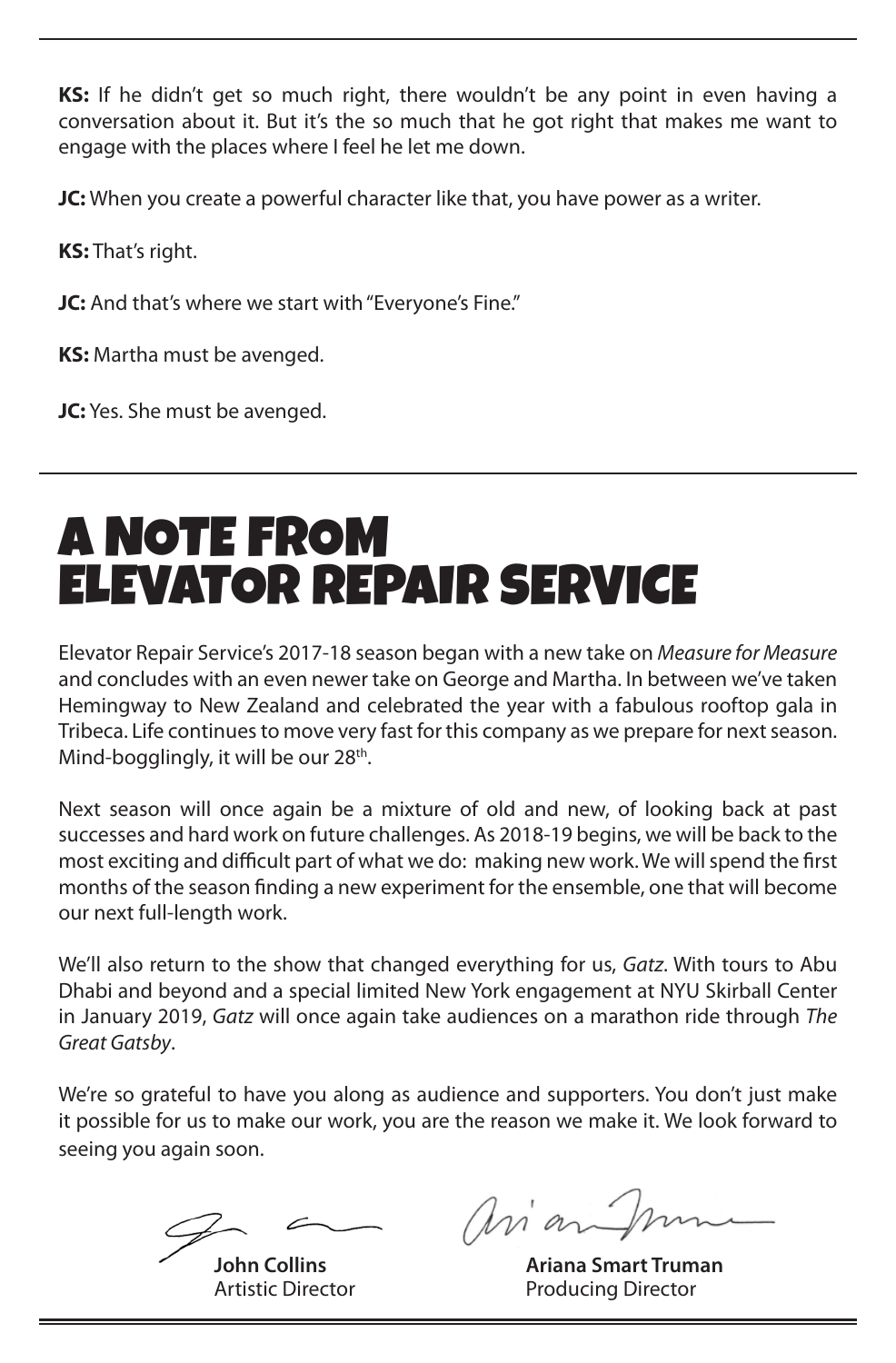**KS:** If he didn't get so much right, there wouldn't be any point in even having a conversation about it. But it's the so much that he got right that makes me want to engage with the places where I feel he let me down.

**JC:** When you create a powerful character like that, you have power as a writer.

**KS:** That's right.

**JC:** And that's where we start with "Everyone's Fine."

**KS:** Martha must be avenged.

**JC:** Yes. She must be avenged.

## A NOTE FROM ELEVATOR REPAIR SERVICE

Elevator Repair Service's 2017-18 season began with a new take on *Measure for Measure* and concludes with an even newer take on George and Martha. In between we've taken Hemingway to New Zealand and celebrated the year with a fabulous rooftop gala in Tribeca. Life continues to move very fast for this company as we prepare for next season. Mind-bogglingly, it will be our  $28<sup>th</sup>$ .

Next season will once again be a mixture of old and new, of looking back at past successes and hard work on future challenges. As 2018-19 begins, we will be back to the most exciting and difficult part of what we do: making new work. We will spend the first months of the season finding a new experiment for the ensemble, one that will become our next full-length work.

We'll also return to the show that changed everything for us, *Gatz*. With tours to Abu Dhabi and beyond and a special limited New York engagement at NYU Skirball Center in January 2019, *Gatz* will once again take audiences on a marathon ride through *The Great Gatsby*.

We're so grateful to have you along as audience and supporters. You don't just make it possible for us to make our work, you are the reason we make it. We look forward to seeing you again soon.

arian Im

 **John Collins Ariana Smart Truman** Artistic Director **Producing Director**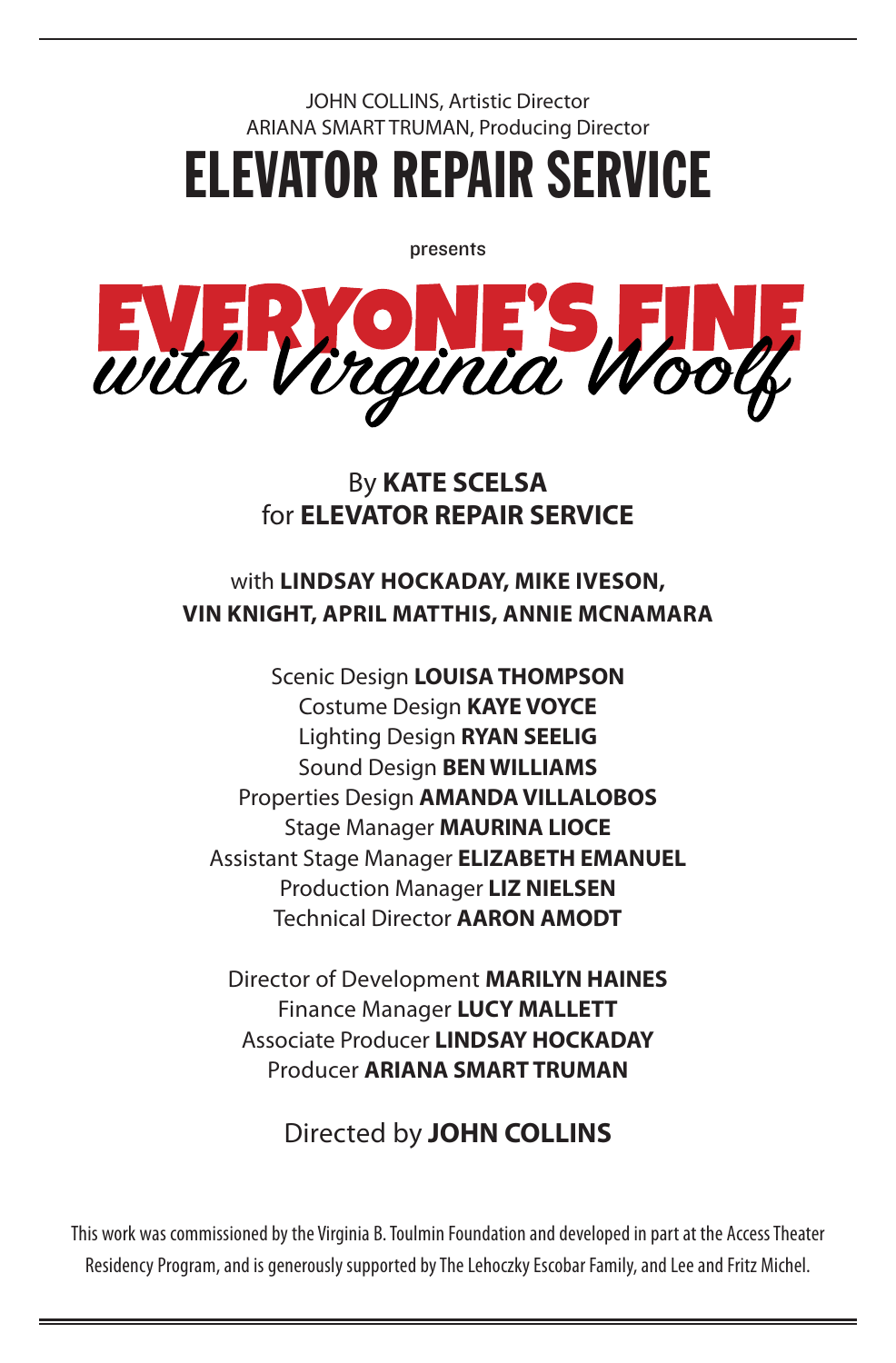### JOHN COLLINS, Artistic Director ARIANA SMART TRUMAN, Producing Director ELEVATOR REPAIR SERVICE

presents



#### By **KATE SCELSA**  for **ELEVATOR REPAIR SERVICE**

#### with **LINDSAY HOCKADAY, MIKE IVESON, VIN KNIGHT, APRIL MATTHIS, ANNIE MCNAMARA**

Scenic Design **LOUISA THOMPSON** Costume Design **KAYE VOYCE** Lighting Design **RYAN SEELIG** Sound Design **BEN WILLIAMS** Properties Design **AMANDA VILLALOBOS** Stage Manager **MAURINA LIOCE** Assistant Stage Manager **ELIZABETH EMANUEL** Production Manager **LIZ NIELSEN** Technical Director **AARON AMODT**

Director of Development **MARILYN HAINES** Finance Manager **LUCY MALLETT** Associate Producer **LINDSAY HOCKADAY** Producer **ARIANA SMART TRUMAN**

### Directed by **JOHN COLLINS**

This work was commissioned by the Virginia B. Toulmin Foundation and developed in part at the Access Theater Residency Program, and is generously supported by The Lehoczky Escobar Family, and Lee and Fritz Michel.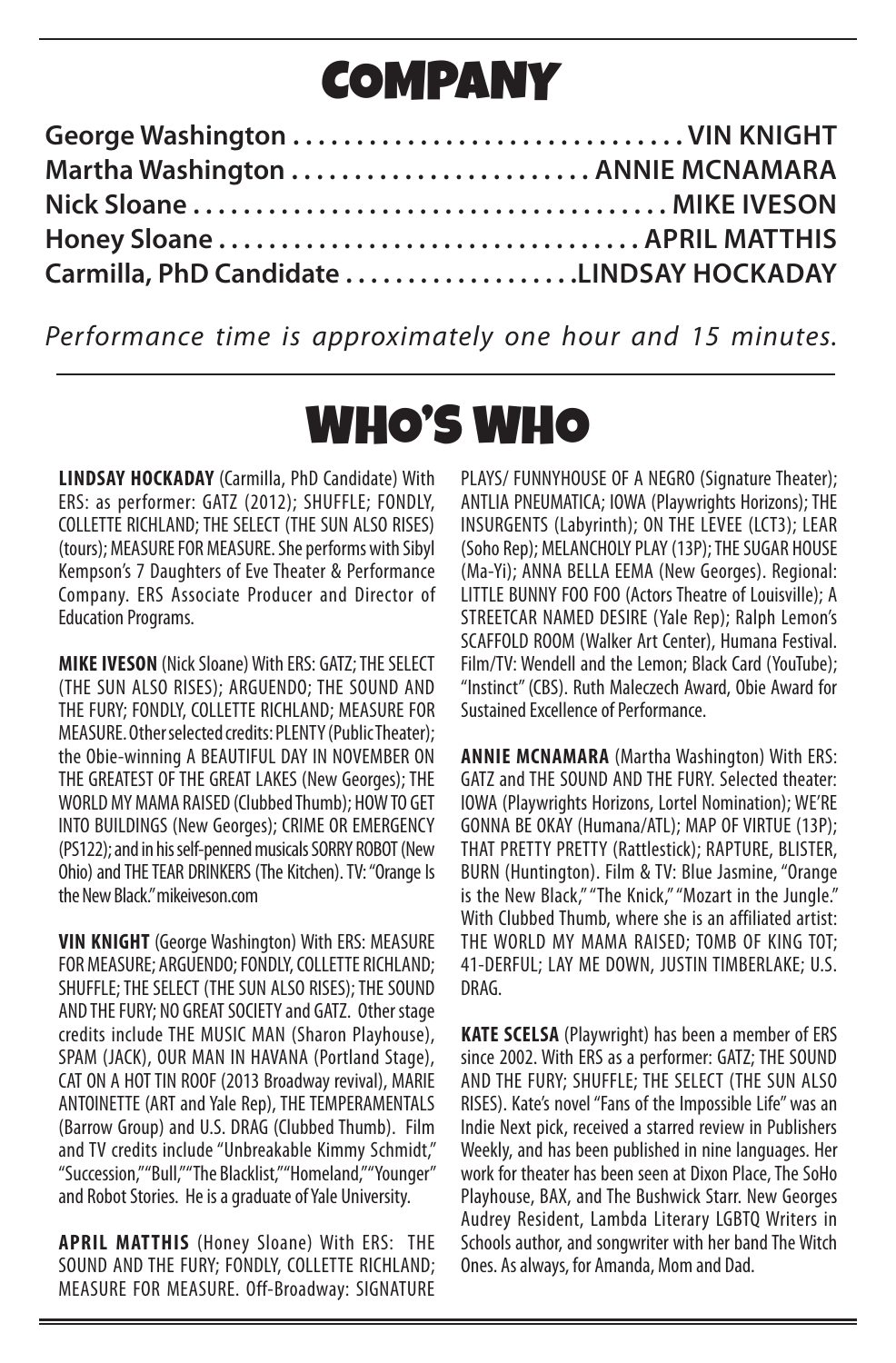# COMPANY

| Honey Sloane  APRIL MATTHIS              |  |
|------------------------------------------|--|
| Carmilla, PhD Candidate LINDSAY HOCKADAY |  |

*Performance time is approximately one hour and 15 minutes.*

## WHO'S WHO

**LINDSAY HOCKADAY** (Carmilla, PhD Candidate) With ERS: as performer: GATZ (2012); SHUFFLE; FONDLY, COLLETTE RICHLAND; THE SELECT (THE SUN ALSO RISES) (tours); MEASURE FOR MEASURE. She performs with Sibyl Kempson's 7 Daughters of Eve Theater & Performance Company. ERS Associate Producer and Director of Education Programs.

**MIKE IVESON** (Nick Sloane) With ERS: GATZ; THE SELECT (THE SUN ALSO RISES); ARGUENDO; THE SOUND AND THE FURY; FONDLY, COLLETTE RICHLAND; MEASURE FOR MEASURE. Other selected credits: PLENTY (Public Theater); the Obie-winning A BEAUTIFUL DAY IN NOVEMBER ON THE GREATEST OF THE GREAT LAKES (New Georges); THE WORLD MY MAMA RAISED (Clubbed Thumb); HOW TO GET INTO BUILDINGS (New Georges); CRIME OR EMERGENCY (PS122); and in his self-penned musicals SORRY ROBOT (New Ohio) and THE TEAR DRINKERS (The Kitchen). TV: "Orange Is the New Black." mikeiveson.com

**VIN KNIGHT** (George Washington) With ERS: MEASURE FOR MEASURE; ARGUENDO; FONDLY, COLLETTE RICHLAND; SHUFFLE; THE SELECT (THE SUN ALSO RISES); THE SOUND AND THE FURY; NO GREAT SOCIETY and GATZ. Other stage credits include THE MUSIC MAN (Sharon Playhouse), SPAM (JACK), OUR MAN IN HAVANA (Portland Stage), CAT ON A HOT TIN ROOF (2013 Broadway revival), MARIE ANTOINETTE (ART and Yale Rep), THE TEMPERAMENTALS (Barrow Group) and U.S. DRAG (Clubbed Thumb). Film and TV credits include "Unbreakable Kimmy Schmidt," "Succession," "Bull," "The Blacklist," "Homeland," "Younger" and Robot Stories. He is a graduate of Yale University.

**APRIL MATTHIS** (Honey Sloane) With ERS: THE SOUND AND THE FURY; FONDLY, COLLETTE RICHLAND; MEASURE FOR MEASURE. Off-Broadway: SIGNATURE PLAYS/ FUNNYHOUSE OF A NEGRO (Signature Theater); ANTLIA PNEUMATICA; IOWA (Playwrights Horizons); THE INSURGENTS (Labyrinth); ON THE LEVEE (LCT3); LEAR (Soho Rep); MELANCHOLY PLAY (13P); THE SUGAR HOUSE (Ma-Yi); ANNA BELLA EEMA (New Georges). Regional: LITTLE BUNNY FOO FOO (Actors Theatre of Louisville); A STREETCAR NAMED DESIRE (Yale Rep); Ralph Lemon's SCAFFOLD ROOM (Walker Art Center), Humana Festival. Film/TV: Wendell and the Lemon; Black Card (YouTube); "Instinct" (CBS). Ruth Maleczech Award, Obie Award for Sustained Excellence of Performance.

**ANNIE MCNAMARA** (Martha Washington) With ERS: GATZ and THE SOUND AND THE FURY. Selected theater: IOWA (Playwrights Horizons, Lortel Nomination); WE'RE GONNA BE OKAY (Humana/ATL); MAP OF VIRTUE (13P); THAT PRETTY PRETTY (Rattlestick); RAPTURE, BLISTER, BURN (Huntington). Film & TV: Blue Jasmine, "Orange is the New Black," "The Knick," "Mozart in the Jungle." With Clubbed Thumb, where she is an affiliated artist: THE WORLD MY MAMA RAISED; TOMB OF KING TOT; 41-DERFUL; LAY ME DOWN, JUSTIN TIMBERLAKE; U.S. DRAG.

**KATE SCELSA** (Playwright) has been a member of ERS since 2002. With ERS as a performer: GATZ; THE SOUND AND THE FURY; SHUFFLE; THE SELECT (THE SUN ALSO RISES). Kate's novel "Fans of the Impossible Life" was an Indie Next pick, received a starred review in Publishers Weekly, and has been published in nine languages. Her work for theater has been seen at Dixon Place, The SoHo Playhouse, BAX, and The Bushwick Starr. New Georges Audrey Resident, Lambda Literary LGBTQ Writers in Schools author, and songwriter with her band The Witch Ones. As always, for Amanda, Mom and Dad.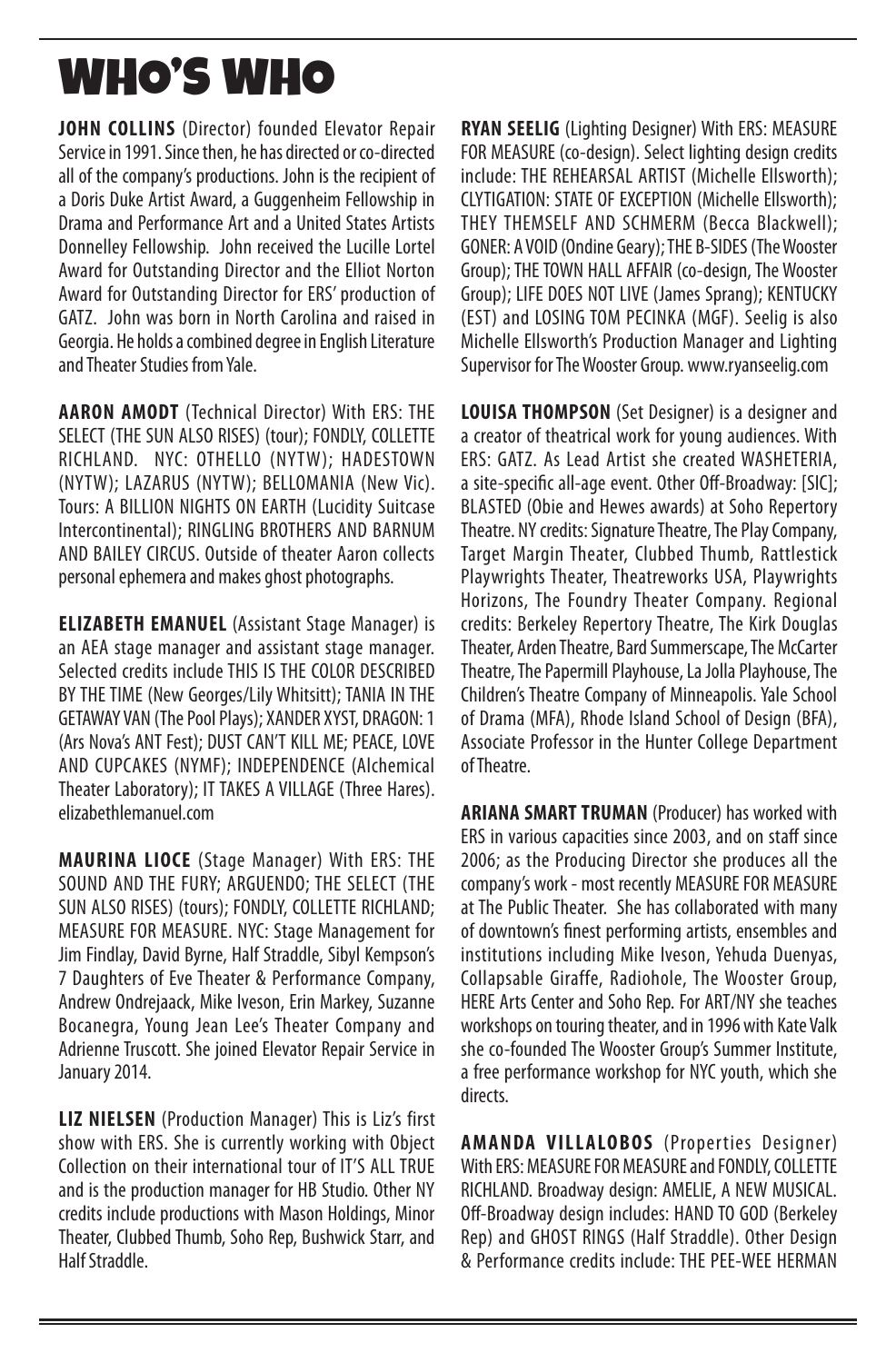## WHO'S WHO

**JOHN COLLINS** (Director) founded Elevator Repair Service in 1991. Since then, he has directed or co-directed all of the company's productions. John is the recipient of a Doris Duke Artist Award, a Guggenheim Fellowship in Drama and Performance Art and a United States Artists Donnelley Fellowship. John received the Lucille Lortel Award for Outstanding Director and the Elliot Norton Award for Outstanding Director for ERS' production of GATZ. John was born in North Carolina and raised in Georgia. He holds a combined degree in English Literature and Theater Studies from Yale.

**AARON AMODT** (Technical Director) With ERS: THE SELECT (THE SUN ALSO RISES) (tour); FONDLY, COLLETTE RICHLAND. NYC: OTHELLO (NYTW); HADESTOWN (NYTW); LAZARUS (NYTW); BELLOMANIA (New Vic). Tours: A BILLION NIGHTS ON EARTH (Lucidity Suitcase Intercontinental); RINGLING BROTHERS AND BARNUM AND BAILEY CIRCUS. Outside of theater Aaron collects personal ephemera and makes ghost photographs.

**ELIZABETH EMANUEL** (Assistant Stage Manager) is an AEA stage manager and assistant stage manager. Selected credits include THIS IS THE COLOR DESCRIBED BY THE TIME (New Georges/Lily Whitsitt); TANIA IN THE GETAWAY VAN (The Pool Plays); XANDER XYST, DRAGON: 1 (Ars Nova's ANT Fest); DUST CAN'T KILL ME; PEACE, LOVE AND CUPCAKES (NYMF); INDEPENDENCE (Alchemical Theater Laboratory); IT TAKES A VILLAGE (Three Hares). elizabethlemanuel.com

**MAURINA LIOCE** (Stage Manager) With ERS: THE SOUND AND THE FURY; ARGUENDO; THE SELECT (THE SUN ALSO RISES) (tours); FONDLY, COLLETTE RICHLAND; MEASURE FOR MEASURE. NYC: Stage Management for Jim Findlay, David Byrne, Half Straddle, Sibyl Kempson's 7 Daughters of Eve Theater & Performance Company, Andrew Ondrejaack, Mike Iveson, Erin Markey, Suzanne Bocanegra, Young Jean Lee's Theater Company and Adrienne Truscott. She joined Elevator Repair Service in January 2014.

**LIZ NIELSEN** (Production Manager) This is Liz's first show with ERS. She is currently working with Object Collection on their international tour of IT'S ALL TRUE and is the production manager for HB Studio. Other NY credits include productions with Mason Holdings, Minor Theater, Clubbed Thumb, Soho Rep, Bushwick Starr, and Half Straddle.

**RYAN SEELIG** (Lighting Designer) With ERS: MEASURE FOR MEASURE (co-design). Select lighting design credits include: THE REHEARSAL ARTIST (Michelle Ellsworth); CLYTIGATION: STATE OF EXCEPTION (Michelle Ellsworth); THEY THEMSELF AND SCHMERM (Becca Blackwell); GONER: A VOID (Ondine Geary); THE B-SIDES (The Wooster Group); THE TOWN HALL AFFAIR (co-design, The Wooster Group); LIFE DOES NOT LIVE (James Sprang); KENTUCKY (EST) and LOSING TOM PECINKA (MGF). Seelig is also Michelle Ellsworth's Production Manager and Lighting Supervisor for The Wooster Group. www.ryanseelig.com

**LOUISA THOMPSON** (Set Designer) is a designer and a creator of theatrical work for young audiences. With ERS: GATZ. As Lead Artist she created WASHETERIA, a site-specific all-age event. Other Off-Broadway: [SIC]; BLASTED (Obie and Hewes awards) at Soho Repertory Theatre. NY credits: Signature Theatre, The Play Company, Target Margin Theater, Clubbed Thumb, Rattlestick Playwrights Theater, Theatreworks USA, Playwrights Horizons, The Foundry Theater Company. Regional credits: Berkeley Repertory Theatre, The Kirk Douglas Theater, Arden Theatre, Bard Summerscape, The McCarter Theatre, The Papermill Playhouse, La Jolla Playhouse, The Children's Theatre Company of Minneapolis. Yale School of Drama (MFA), Rhode Island School of Design (BFA), Associate Professor in the Hunter College Department of Theatre.

**ARIANA SMART TRUMAN** (Producer) has worked with ERS in various capacities since 2003, and on staff since 2006; as the Producing Director she produces all the company's work - most recently MEASURE FOR MEASURE at The Public Theater. She has collaborated with many of downtown's finest performing artists, ensembles and institutions including Mike Iveson, Yehuda Duenyas, Collapsable Giraffe, Radiohole, The Wooster Group, HERE Arts Center and Soho Rep. For ART/NY she teaches workshops on touring theater, and in 1996 with Kate Valk she co-founded The Wooster Group's Summer Institute, a free performance workshop for NYC youth, which she directs.

**AMANDA VILLALOBOS** (Properties Designer) With ERS: MEASURE FOR MEASURE and FONDLY, COLLETTE RICHLAND. Broadway design: AMELIE, A NEW MUSICAL. Off-Broadway design includes: HAND TO GOD (Berkeley Rep) and GHOST RINGS (Half Straddle). Other Design & Performance credits include: THE PEE-WEE HERMAN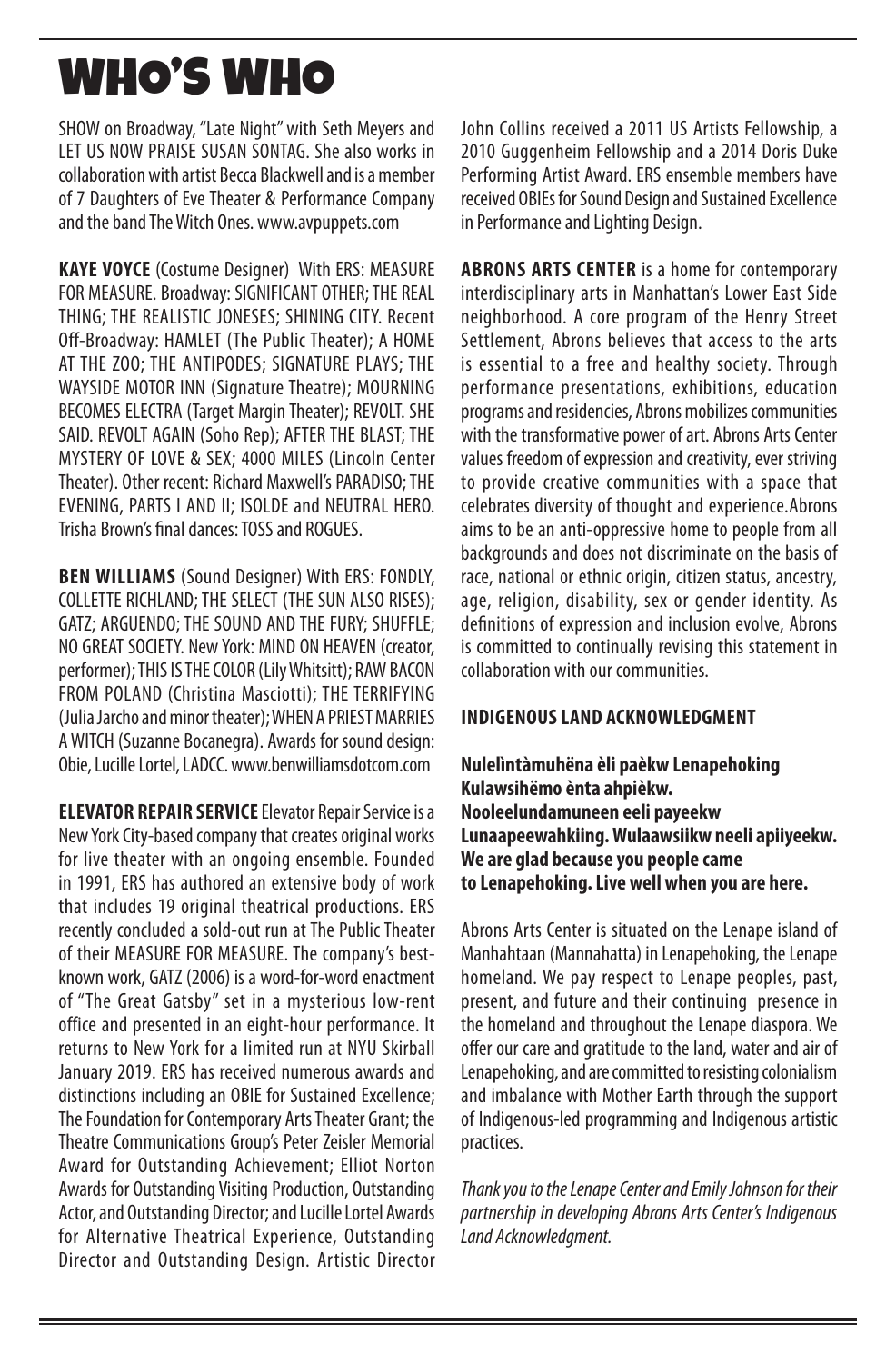# WHO'S WHO

SHOW on Broadway, "Late Night" with Seth Meyers and LET US NOW PRAISE SUSAN SONTAG. She also works in collaboration with artist Becca Blackwell and is a member of 7 Daughters of Eve Theater & Performance Company and the band The Witch Ones. www.avpuppets.com

**KAYE VOYCE** (Costume Designer) With ERS: MEASURE FOR MEASURE. Broadway: SIGNIFICANT OTHER; THE REAL THING; THE REALISTIC JONESES; SHINING CITY. Recent Off-Broadway: HAMLET (The Public Theater); A HOME AT THE ZOO; THE ANTIPODES; SIGNATURE PLAYS; THE WAYSIDE MOTOR INN (Signature Theatre); MOURNING BECOMES ELECTRA (Target Margin Theater); REVOLT. SHE SAID. REVOLT AGAIN (Soho Rep); AFTER THE BLAST; THE MYSTERY OF LOVE & SEX; 4000 MILES (Lincoln Center Theater). Other recent: Richard Maxwell's PARADISO; THE EVENING, PARTS I AND II; ISOLDE and NEUTRAL HERO. Trisha Brown's final dances: TOSS and ROGUES.

**BEN WILLIAMS** (Sound Designer) With ERS: FONDLY, COLLETTE RICHLAND; THE SELECT (THE SUN ALSO RISES); GATZ; ARGUENDO; THE SOUND AND THE FURY; SHUFFLE; NO GREAT SOCIETY. New York: MIND ON HEAVEN (creator, performer); THIS IS THE COLOR (Lily Whitsitt); RAW BACON FROM POLAND (Christina Masciotti); THE TERRIFYING (Julia Jarcho and minor theater); WHEN A PRIEST MARRIES A WITCH (Suzanne Bocanegra). Awards for sound design: Obie, Lucille Lortel, LADCC. www.benwilliamsdotcom.com

**ELEVATOR REPAIR SERVICE** Elevator Repair Service is a New York City-based company that creates original works for live theater with an ongoing ensemble. Founded in 1991, ERS has authored an extensive body of work that includes 19 original theatrical productions. ERS recently concluded a sold-out run at The Public Theater of their MEASURE FOR MEASURE. The company's bestknown work, GATZ (2006) is a word-for-word enactment of "The Great Gatsby" set in a mysterious low-rent office and presented in an eight-hour performance. It returns to New York for a limited run at NYU Skirball January 2019. ERS has received numerous awards and distinctions including an OBIE for Sustained Excellence; The Foundation for Contemporary Arts Theater Grant; the Theatre Communications Group's Peter Zeisler Memorial Award for Outstanding Achievement; Elliot Norton Awards for Outstanding Visiting Production, Outstanding Actor, and Outstanding Director; and Lucille Lortel Awards for Alternative Theatrical Experience, Outstanding Director and Outstanding Design. Artistic Director

John Collins received a 2011 US Artists Fellowship, a 2010 Guggenheim Fellowship and a 2014 Doris Duke Performing Artist Award. ERS ensemble members have received OBIEs for Sound Design and Sustained Excellence in Performance and Lighting Design.

**ABRONS ARTS CENTER** is a home for contemporary interdisciplinary arts in Manhattan's Lower East Side neighborhood. A core program of the Henry Street Settlement, Abrons believes that access to the arts is essential to a free and healthy society. Through performance presentations, exhibitions, education programs and residencies, Abrons mobilizes communities with the transformative power of art. Abrons Arts Center values freedom of expression and creativity, ever striving to provide creative communities with a space that celebrates diversity of thought and experience.Abrons aims to be an anti-oppressive home to people from all backgrounds and does not discriminate on the basis of race, national or ethnic origin, citizen status, ancestry, age, religion, disability, sex or gender identity. As definitions of expression and inclusion evolve, Abrons is committed to continually revising this statement in collaboration with our communities.

#### **INDIGENOUS LAND ACKNOWLEDGMENT**

**Nulelìntàmuhëna èli paèkw Lenapehoking Kulawsihëmo ènta ahpièkw. Nooleelundamuneen eeli payeekw Lunaapeewahkiing. Wulaawsiikw neeli apiiyeekw. We are glad because you people came to Lenapehoking. Live well when you are here.**

Abrons Arts Center is situated on the Lenape island of Manhahtaan (Mannahatta) in Lenapehoking, the Lenape homeland. We pay respect to Lenape peoples, past, present, and future and their continuing presence in the homeland and throughout the Lenape diaspora. We offer our care and gratitude to the land, water and air of Lenapehoking, and are committed to resisting colonialism and imbalance with Mother Earth through the support of Indigenous-led programming and Indigenous artistic practices.

*Thank you to the Lenape Center and Emily Johnson for their partnership in developing Abrons Arts Center's Indigenous Land Acknowledgment.*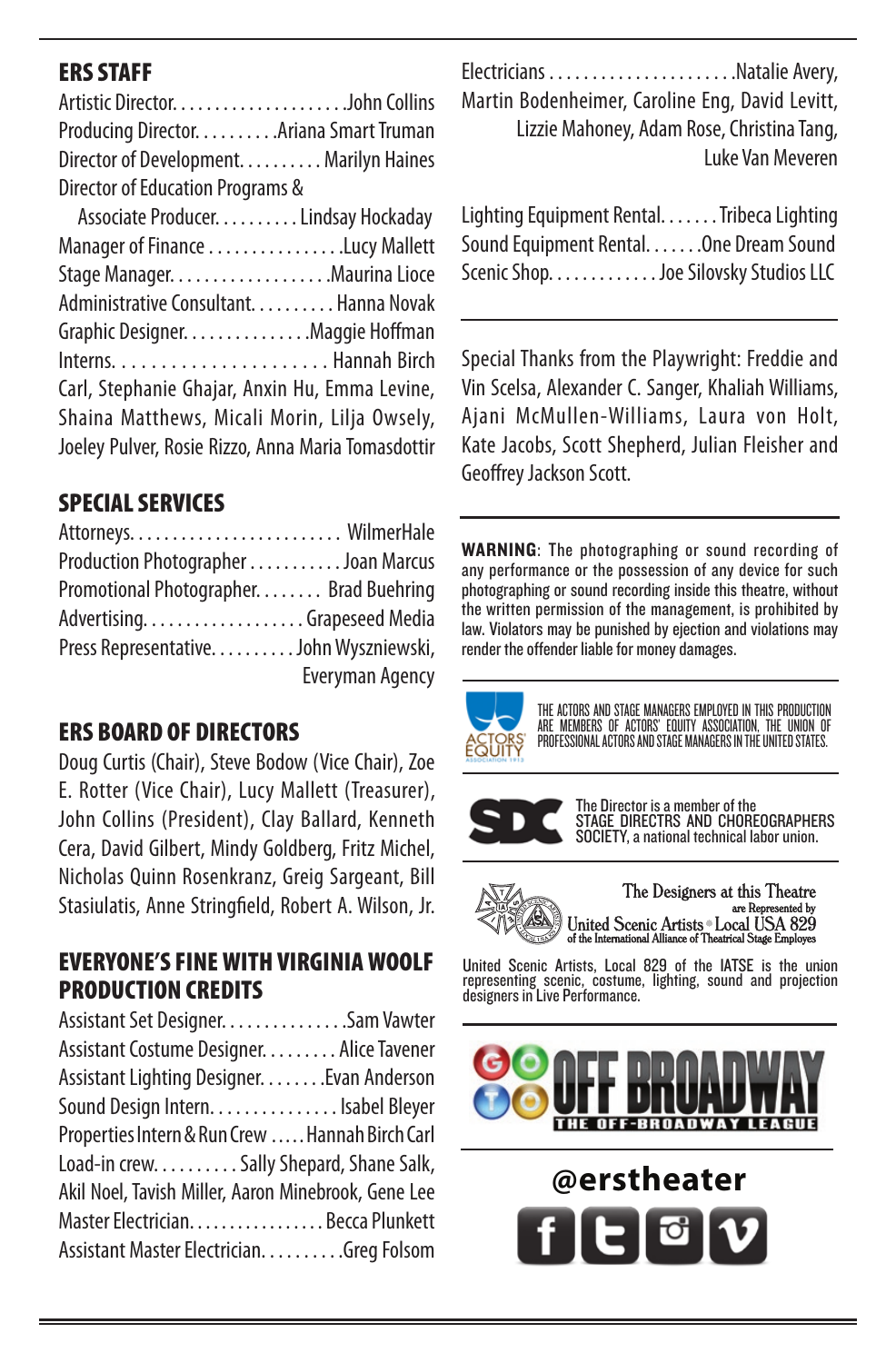#### ERS STAFF

Artistic Director. . . . . . . . . . . . . . . . . . . . .John Collins Producing Director. . . . . . . . . .Ariana Smart Truman Director of Development. . . . . . . . . . Marilyn Haines Director of Education Programs &

 Associate Producer. . . . . . . . . . Lindsay Hockaday Manager of Finance . . . . . . . . . . . . . . . .Lucy Mallett Stage Manager. . . . . . . . . . . . . . . . . . .Maurina Lioce Administrative Consultant. . . . . . . . . . Hanna Novak Graphic Designer. . . . . . . . . . . . . . .Maggie Hoffman Interns. . . . . . . . . . . . . . . . . . . . . . Hannah Birch Carl, Stephanie Ghajar, Anxin Hu, Emma Levine, Shaina Matthews, Micali Morin, Lilja Owsely, Joeley Pulver, Rosie Rizzo, Anna Maria Tomasdottir

#### SPECIAL SERVICES

| Production Photographer Joan Marcus     |                        |
|-----------------------------------------|------------------------|
| Promotional Photographer. Brad Buehring |                        |
|                                         |                        |
| Press Representative. John Wyszniewski, |                        |
|                                         | <b>Everyman Agency</b> |

#### ERS BOARD OF DIRECTORS

Doug Curtis (Chair), Steve Bodow (Vice Chair), Zoe E. Rotter (Vice Chair), Lucy Mallett (Treasurer), John Collins (President), Clay Ballard, Kenneth Cera, David Gilbert, Mindy Goldberg, Fritz Michel, Nicholas Quinn Rosenkranz, Greig Sargeant, Bill Stasiulatis, Anne Stringfield, Robert A. Wilson, Jr.

#### EVERYONE'S FINE WITH VIRGINIA WOOLF PRODUCTION CREDITS

Assistant Set Designer. . . . . . . . . . . . . . .Sam Vawter Assistant Costume Designer. . . . . . . . . Alice Tavener Assistant Lighting Designer. . . . . . . .Evan Anderson Sound Design Intern. . . . . . . . . . . . . . . Isabel Bleyer Properties Intern & Run Crew . . . . . Hannah Birch Carl Load-in crew. . . . . . . . . . Sally Shepard, Shane Salk, Akil Noel, Tavish Miller, Aaron Minebrook, Gene Lee Master Electrician. . . . . . . . . . . . . . . . . Becca Plunkett Assistant Master Electrician. . . . . . . . . . . Greg Folsom

Electricians . . . . . . . . . . . . . . . . . . . . . .Natalie Avery, Martin Bodenheimer, Caroline Eng, David Levitt,

 Lizzie Mahoney, Adam Rose, Christina Tang, Luke Van Meveren

Lighting Equipment Rental. . . . . . . Tribeca Lighting Sound Equipment Rental. . . . . . . One Dream Sound Scenic Shop. . . . . . . . . . . . . Joe Silovsky Studios LLC

Special Thanks from the Playwright: Freddie and Vin Scelsa, Alexander C. Sanger, Khaliah Williams, Ajani McMullen-Williams, Laura von Holt, Kate Jacobs, Scott Shepherd, Julian Fleisher and Geoffrey Jackson Scott.

WARNING: The photographing or sound recording of any performance or the possession of any device for such photographing or sound recording inside this theatre, without the written permission of the management, is prohibited by law. Violators may be punished by ejection and violations may render the offender liable for money damages.



THE ACTORS AND STAGE MANAGERS EMPLOYED IN THIS PRODUCTION<br>ARE MEMBERS OF ACTORS' EQUITY ASSOCIATION, THE UNION OF<br>PROFESSIONAL ACTORS AND STAGE MANAGERS IN THE UNITED STATES.



The Director is a member of the STAGE DIRECTRS AND CHOREOGRAPHERS SOCIETY, a national technical labor union.

are R



United Scenic Artists, Local 829 of the IATSE is the union representing scenic, costume, lighting, sound and projection designers in Live Performance.



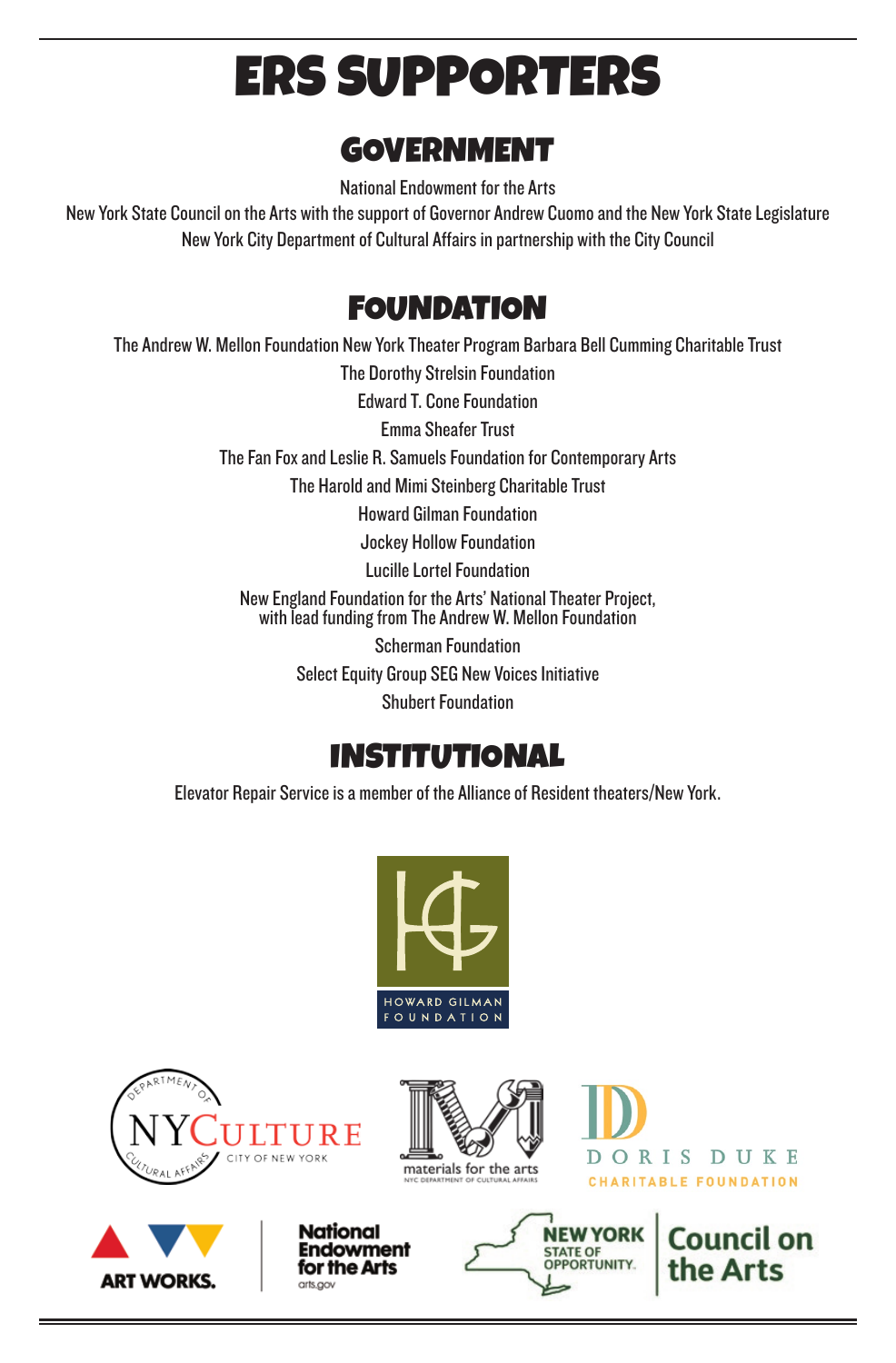# ERS SUPPORTERS

### GOVERNMENT

National Endowment for the Arts

New York State Council on the Arts with the support of Governor Andrew Cuomo and the New York State Legislature New York City Department of Cultural Affairs in partnership with the City Council

### **FOUNDATION**

The Andrew W. Mellon Foundation New York Theater Program Barbara Bell Cumming Charitable Trust

The Dorothy Strelsin Foundation

Edward T. Cone Foundation

Emma Sheafer Trust

The Fan Fox and Leslie R. Samuels Foundation for Contemporary Arts

The Harold and Mimi Steinberg Charitable Trust

Howard Gilman Foundation

Jockey Hollow Foundation

Lucille Lortel Foundation

New England Foundation for the Arts' National Theater Project, with lead funding from The Andrew W. Mellon Foundation

> Scherman Foundation Select Equity Group SEG New Voices Initiative

> > Shubert Foundation

### INSTITUTIONAL

Elevator Repair Service is a member of the Alliance of Resident theaters/New York.











DORIS DUKE **CHARITABLE FOUNDATION** 

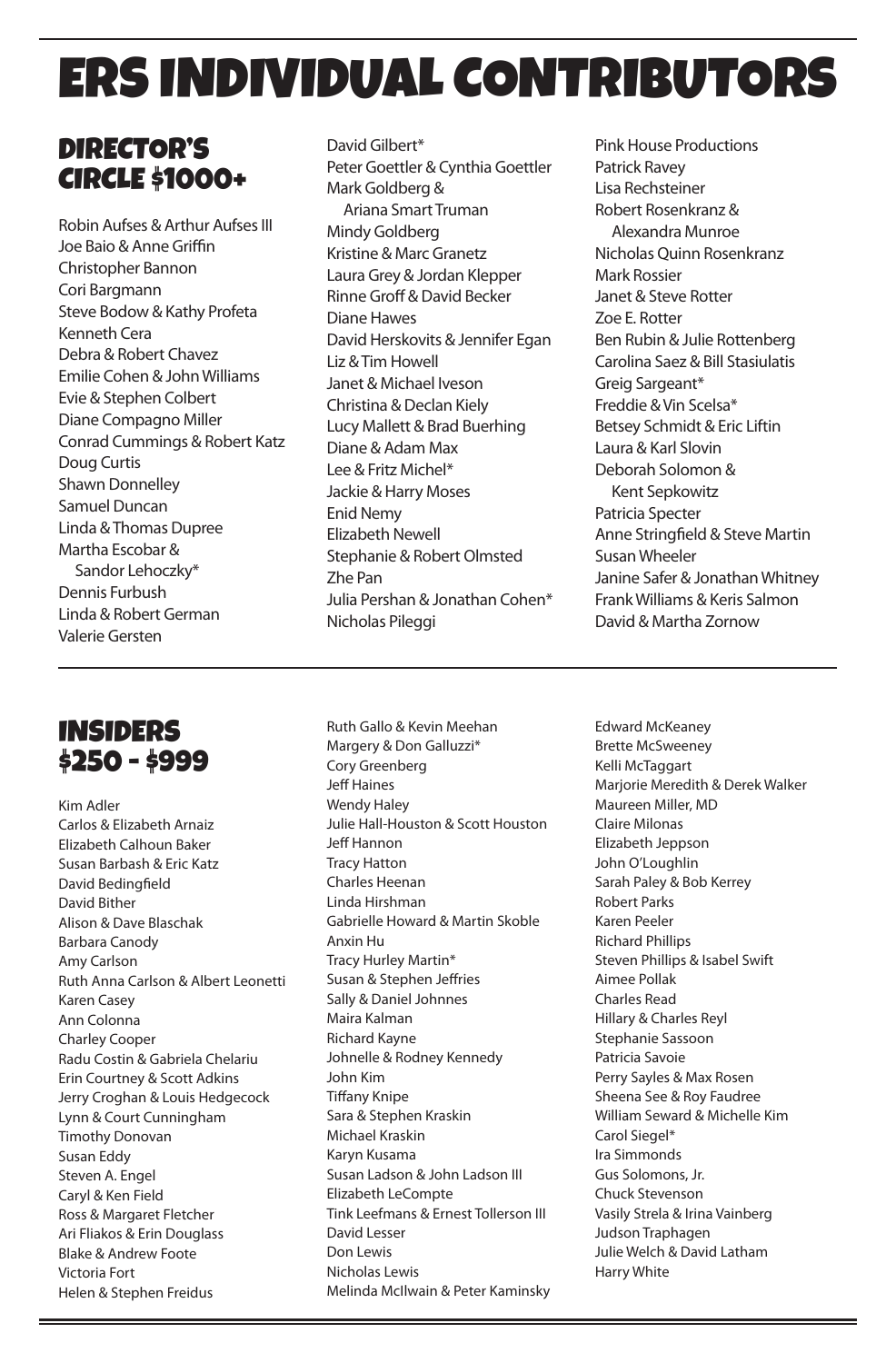# ERS INDIVIDUAL CONTRIBUTORS

### DIRECTOR'S CIRCLE \$1000+

Robin Aufses & Arthur Aufses III Joe Baio & Anne Griffin Christopher Bannon Cori Bargmann Steve Bodow & Kathy Profeta Kenneth Cera Debra & Robert Chavez Emilie Cohen & John Williams Evie & Stephen Colbert Diane Compagno Miller Conrad Cummings & Robert Katz Doug Curtis Shawn Donnelley Samuel Duncan Linda & Thomas Dupree Martha Escobar & Sandor Lehoczky\* Dennis Furbush Linda & Robert German Valerie Gersten

#### David Gilbert\* Peter Goettler & Cynthia Goettler Mark Goldberg & Ariana Smart Truman Mindy Goldberg Kristine & Marc Granetz Laura Grey & Jordan Klepper Rinne Groff & David Becker Diane Hawes David Herskovits & Jennifer Egan Liz & Tim Howell Janet & Michael Iveson Christina & Declan Kiely Lucy Mallett & Brad Buerhing Diane & Adam Max Lee & Fritz Michel\* Jackie & Harry Moses Enid Nemy Elizabeth Newell Stephanie & Robert Olmsted Zhe Pan Julia Pershan & Jonathan Cohen\* Nicholas Pileggi

Pink House Productions Patrick Ravey Lisa Rechsteiner Robert Rosenkranz & Alexandra Munroe Nicholas Quinn Rosenkranz Mark Rossier Janet & Steve Rotter Zoe E. Rotter Ben Rubin & Julie Rottenberg Carolina Saez & Bill Stasiulatis Greig Sargeant\* Freddie & Vin Scelsa\* Betsey Schmidt & Eric Liftin Laura & Karl Slovin Deborah Solomon & Kent Sepkowitz Patricia Specter Anne Stringfield & Steve Martin Susan Wheeler Janine Safer & Jonathan Whitney Frank Williams & Keris Salmon David & Martha Zornow

### INSIDERS \$250 - \$999

Kim Adler Carlos & Elizabeth Arnaiz Elizabeth Calhoun Baker Susan Barbash & Eric Katz David Bedingfield David Bither Alison & Dave Blaschak Barbara Canody Amy Carlson Ruth Anna Carlson & Albert Leonetti Karen Casey Ann Colonna Charley Cooper Radu Costin & Gabriela Chelariu Erin Courtney & Scott Adkins Jerry Croghan & Louis Hedgecock Lynn & Court Cunningham Timothy Donovan Susan Eddy Steven A. Engel Caryl & Ken Field Ross & Margaret Fletcher Ari Fliakos & Erin Douglass Blake & Andrew Foote Victoria Fort Helen & Stephen Freidus

Ruth Gallo & Kevin Meehan Margery & Don Galluzzi\* Cory Greenberg Jeff Haines Wendy Haley Julie Hall-Houston & Scott Houston Jeff Hannon Tracy Hatton Charles Heenan Linda Hirshman Gabrielle Howard & Martin Skoble Anxin Hu Tracy Hurley Martin\* Susan & Stephen Jeffries Sally & Daniel Johnnes Maira Kalman Richard Kayne Johnelle & Rodney Kennedy John Kim Tiffany Knipe Sara & Stephen Kraskin Michael Kraskin Karyn Kusama Susan Ladson & John Ladson III Elizabeth LeCompte Tink Leefmans & Ernest Tollerson III David Lesser Don Lewis Nicholas Lewis Melinda McIlwain & Peter Kaminsky Edward McKeaney Brette McSweeney Kelli McTaggart Marjorie Meredith & Derek Walker Maureen Miller, MD Claire Milonas Elizabeth Jeppson John O'Loughlin Sarah Paley & Bob Kerrey Robert Parks Karen Peeler Richard Phillips Steven Phillips & Isabel Swift Aimee Pollak Charles Read Hillary & Charles Reyl Stephanie Sassoon Patricia Savoie Perry Sayles & Max Rosen Sheena See & Roy Faudree William Seward & Michelle Kim Carol Siegel\* Ira Simmonds Gus Solomons, Jr. Chuck Stevenson Vasily Strela & Irina Vainberg Judson Traphagen Julie Welch & David Latham Harry White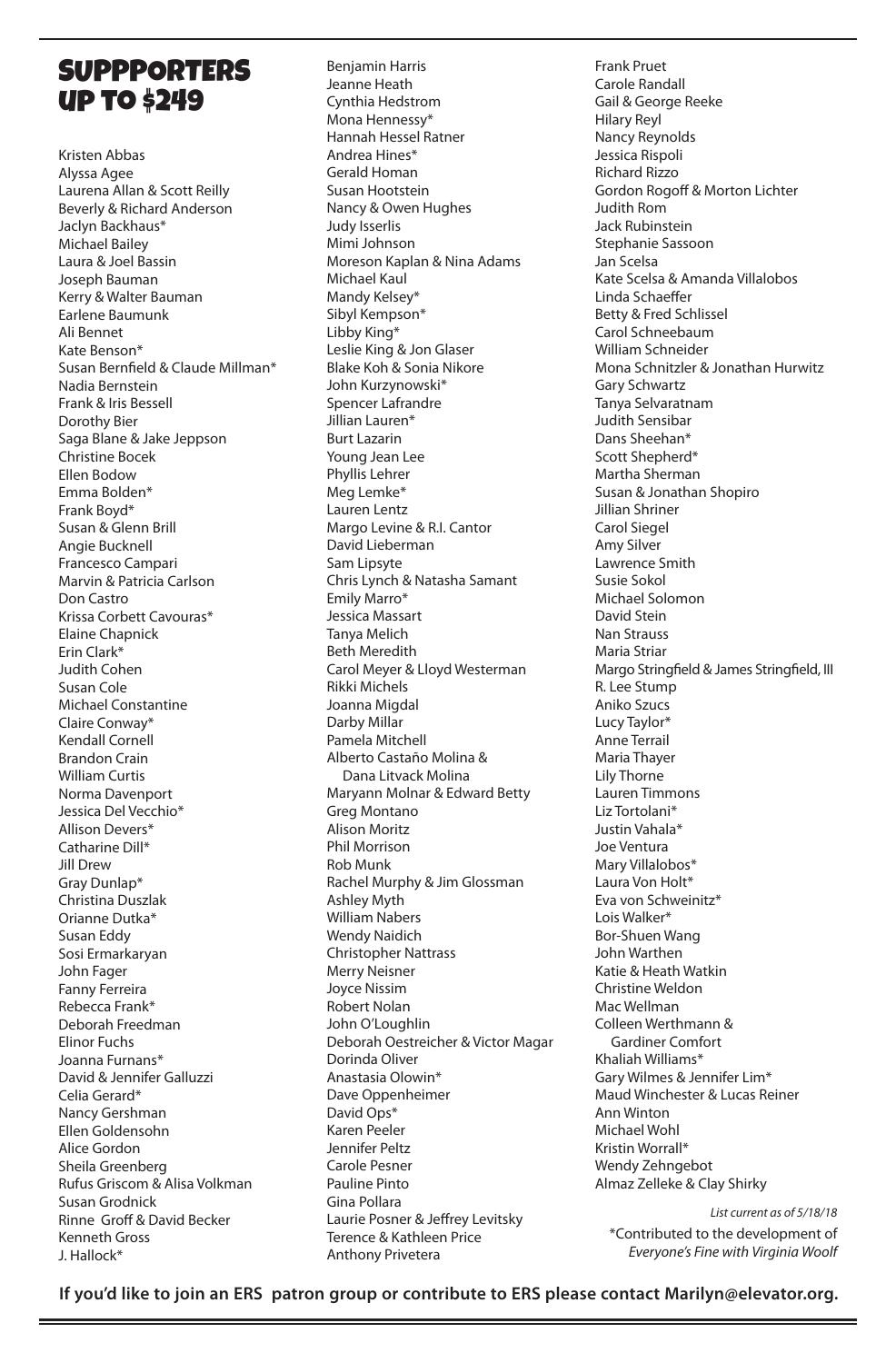#### **SUPPPORTERS** up to \$249

Kristen Abbas Alyssa Agee Laurena Allan & Scott Reilly Beverly & Richard Anderson Jaclyn Backhaus\* Michael Bailey Laura & Joel Bassin Joseph Bauman Kerry & Walter Bauman Earlene Baumunk Ali Bennet Kate Benson\* Susan Bernfield & Claude Millman\* Nadia Bernstein Frank & Iris Bessell Dorothy Bier Saga Blane & Jake Jeppson Christine Bocek Ellen Bodow Emma Bolden\* Frank Boyd\* Susan & Glenn Brill Angie Bucknell Francesco Campari Marvin & Patricia Carlson Don Castro Krissa Corbett Cavouras\* Elaine Chapnick Erin Clark\* Judith Cohen Susan Cole Michael Constantine Claire Conway\* Kendall Cornell Brandon Crain William Curtis Norma Davenport Jessica Del Vecchio\* Allison Devers\* Catharine Dill\* Jill Drew Gray Dunlap\* Christina Duszlak Orianne Dutka\* Susan Eddy Sosi Ermarkaryan John Fager Fanny Ferreira Rebecca Frank\* Deborah Freedman Elinor Fuchs Joanna Furnans\* David & Jennifer Galluzzi Celia Gerard\* Nancy Gershman Ellen Goldensohn Alice Gordon Sheila Greenberg Rufus Griscom & Alisa Volkman Susan Grodnick Rinne Groff & David Becker Kenneth Gross J. Hallock\*

Benjamin Harris Jeanne Heath Cynthia Hedstrom Mona Hennessy\* Hannah Hessel Ratner Andrea Hines\* Gerald Homan Susan Hootstein Nancy & Owen Hughes Judy Isserlis Mimi Johnson Moreson Kaplan & Nina Adams Michael Kaul Mandy Kelsey\* Sibyl Kempson\* Libby King\* Leslie King & Jon Glaser Blake Koh & Sonia Nikore John Kurzynowski\* Spencer Lafrandre Jillian Lauren\* Burt Lazarin Young Jean Lee Phyllis Lehrer Meg Lemke\* Lauren Lentz Margo Levine & R.I. Cantor David Lieberman Sam Lipsyte Chris Lynch & Natasha Samant Emily Marro\* Jessica Massart Tanya Melich Beth Meredith Carol Meyer & Lloyd Westerman Rikki Michels Joanna Migdal Darby Millar Pamela Mitchell Alberto Castaño Molina & Dana Litvack Molina Maryann Molnar & Edward Betty Greg Montano Alison Moritz Phil Morrison Rob Munk Rachel Murphy & Jim Glossman Ashley Myth William Nabers Wendy Naidich Christopher Nattrass Merry Neisner Joyce Nissim Robert Nolan John O'Loughlin Deborah Oestreicher & Victor Magar Dorinda Oliver Anastasia Olowin\* Dave Oppenheimer David Ops\* Karen Peeler Jennifer Peltz Carole Pesner Pauline Pinto Gina Pollara Laurie Posner & Jeffrey Levitsky Terence & Kathleen Price Anthony Privetera

Frank Pruet Carole Randall Gail & George Reeke Hilary Reyl Nancy Reynolds Jessica Rispoli Richard Rizzo Gordon Rogoff & Morton Lichter Judith Rom Jack Rubinstein Stephanie Sassoon Jan Scelsa Kate Scelsa & Amanda Villalobos Linda Schaeffer Betty & Fred Schlissel Carol Schneebaum William Schneider Mona Schnitzler & Jonathan Hurwitz Gary Schwartz Tanya Selvaratnam Judith Sensibar Dans Sheehan\* Scott Shepherd\* Martha Sherman Susan & Jonathan Shopiro Jillian Shriner Carol Siegel Amy Silver Lawrence Smith Susie Sokol Michael Solomon David Stein Nan Strauss Maria Striar Margo Stringfield & James Stringfield, III R. Lee Stump Aniko Szucs Lucy Taylor\* Anne Terrail Maria Thayer Lily Thorne Lauren Timmons Liz Tortolani\* Justin Vahala\* Joe Ventura Mary Villalobos\* Laura Von Holt\* Eva von Schweinitz\* Lois Walker\* Bor-Shuen Wang John Warthen Katie & Heath Watkin Christine Weldon Mac Wellman Colleen Werthmann & Gardiner Comfort Khaliah Williams\* Gary Wilmes & Jennifer Lim\* Maud Winchester & Lucas Reiner Ann Winton Michael Wohl Kristin Worrall\* Wendy Zehngebot Almaz Zelleke & Clay Shirky

*List current as of 5/18/18* \*Contributed to the development of *Everyone's Fine with Virginia Woolf*

**If you'd like to join an ERS patron group or contribute to ERS please contact Marilyn@elevator.org.**